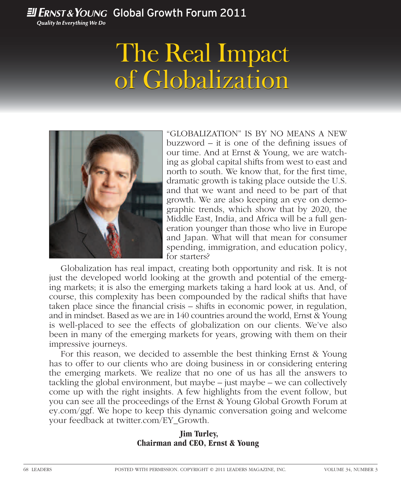### **Ell ERNST & YOUNG Global Growth Forum 2011**

**Quality In Everything We Do** 

## The Real Impact The Real Impact of Globalization



"GLOBALIZATION" IS BY NO MEANS A NEW  $buzzword - it$  is one of the defining issues of our time. And at Ernst & Young, we are watching as global capital shifts from west to east and north to south. We know that, for the first time, dramatic growth is taking place outside the U.S. and that we want and need to be part of that growth. We are also keeping an eye on demographic trends, which show that by 2020, the Middle East, India, and Africa will be a full generation younger than those who live in Europe and Japan. What will that mean for consumer spending, immigration, and education policy, for starters?

Globalization has real impact, creating both opportunity and risk. It is not just the developed world looking at the growth and potential of the emerging markets; it is also the emerging markets taking a hard look at us. And, of course, this complexity has been compounded by the radical shifts that have taken place since the financial crisis  $-$  shifts in economic power, in regulation, and in mindset. Based as we are in 140 countries around the world, Ernst & Young is well-placed to see the effects of globalization on our clients. We've also been in many of the emerging markets for years, growing with them on their impressive journeys.

For this reason, we decided to assemble the best thinking Ernst & Young has to offer to our clients who are doing business in or considering entering the emerging markets. We realize that no one of us has all the answers to tackling the global environment, but maybe – just maybe – we can collectively come up with the right insights. A few highlights from the event follow, but you can see all the proceedings of the Ernst & Young Global Growth Forum at ey.com/ggf. We hope to keep this dynamic conversation going and welcome your feedback at twitter.com/EY\_Growth.

### **Jim Turley, Chairman and CEO, Ernst & Young**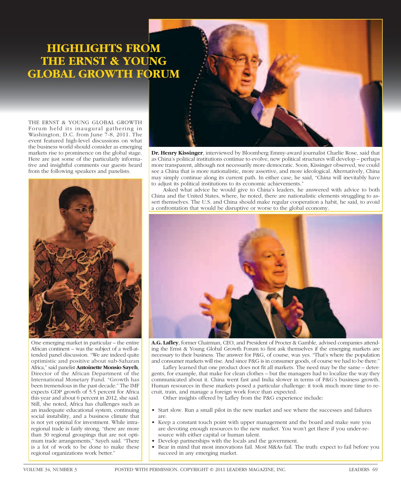## **HIGHLIGHTS FROM THE ERNST & YOUNG GLOBAL GROWTH FORUM**

THE ERNST & YOUNG GLOBAL GROWTH Forum held its inaugural gathering in Washington, D.C. from June 7-8, 2011. The event featured high-level discussions on what the business world should consider as emerging markets rise to prominence on the global stage. Here are just some of the particularly informative and insightful comments our guests heard from the following speakers and panelists.



One emerging market in particular – the entire African continent – was the subject of a well-attended panel discussion. "We are indeed quite optimistic and positive about sub-Saharan Africa," said panelist **Antoinette Monsio Sayeh**, Director of the African Department of the International Monetary Fund. "Growth has been tremendous in the past decade." The IMF expects GDP growth of 5.5 percent for Africa this year and about 6 percent in 2012, she said. Still, she noted, Africa has challenges such as an inadequate educational system, continuing social instability, and a business climate that is not yet optimal for investment. While intraregional trade is fairly strong, "there are more than 30 regional groupings that are not optimum trade arrangements," Sayeh said. "There is a lot of work to be done to make these regional organizations work better."

**Dr. Henry Kissinger**, interviewed by Bloomberg Emmy-award journalist Charlie Rose, said that as China's political institutions continue to evolve, new political structures will develop – perhaps more transparent, although not necessarily more democratic. Soon, Kissinger observed, we could see a China that is more nationalistic, more assertive, and more ideological. Alternatively, China may simply continue along its current path. In either case, he said, "China will inevitably have to adjust its political institutions to its economic achievements."

Asked what advice he would give to China's leaders, he answered with advice to both China and the United States, where, he noted, there are nationalistic elements struggling to assert themselves. The U.S. and China should make regular cooperation a habit, he said, to avoid a confrontation that would be disruptive or worse to the global economy.



**A.G. Lafl ey**, former Chairman, CEO, and President of Procter & Gamble, advised companies attending the Ernst & Young Global Growth Forum to first ask themselves if the emerging markets are necessary to their business. The answer for P&G, of course, was yes. "That's where the population and consumer markets will rise. And since P&G is in consumer goods, of course we had to be there."

Lafley learned that one product does not fit all markets. The need may be the same – detergents, for example, that make for clean clothes – but the managers had to localize the way they communicated about it. China went fast and India slower in terms of P&G's business growth. Human resources in these markets posed a particular challenge: it took much more time to recruit, train, and manage a foreign work force than expected.

Other insights offered by Lafley from the P&G experience include:

- Start slow. Run a small pilot in the new market and see where the successes and failures are.
- Keep a constant touch point with upper management and the board and make sure you are devoting enough resources to the new market. You won't get there if you under-resource with either capital or human talent.
- Develop partnerships with the locals and the government.
- Bear in mind that most innovations fail. Most M&As fail. The truth: expect to fail before you succeed in any emerging market.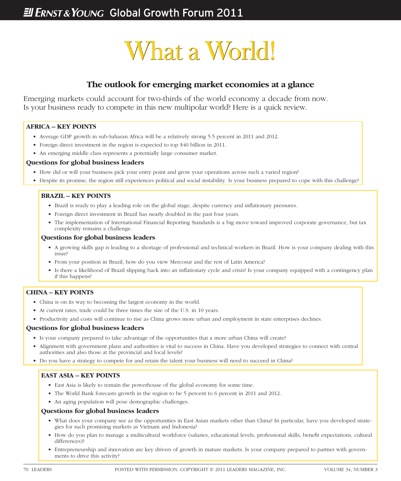# What a World! What a World!

### **The outlook for emerging market economies at a glance**

Emerging markets could account for two-thirds of the world economy a decade from now. Is your business ready to compete in this new multipolar world? Here is a quick review.

#### **AFRICA – KEY POINTS**

- Average GDP growth in sub-Saharan Africa will be a relatively strong 5.5 percent in 2011 and 2012.
- Foreign direct investment in the region is expected to top \$40 billion in 2011.
- An emerging middle class represents a potentially large consumer market.

#### **Questions for global business leaders**

- How did or will your business pick your entry point and grow your operations across such a varied region?
- Despite its promise, the region still experiences political and social instability. Is your business prepared to cope with this challenge?

#### **BRAZIL – KEY POINTS**

- Brazil is ready to play a leading role on the global stage, despite currency and inflationary pressures.
- Foreign direct investment in Brazil has nearly doubled in the past four years.
- The implementation of International Financial Reporting Standards is a big move toward improved corporate governance, but tax complexity remains a challenge.

#### **Questions for global business leaders**

- A growing skills gap is leading to a shortage of professional and technical workers in Brazil. How is your company dealing with this issue?
- From your position in Brazil, how do you view Mercosur and the rest of Latin America?
- Is there a likelihood of Brazil slipping back into an inflationary cycle and crisis? Is your company equipped with a contingency plan if this happens?

#### **CHINA – KEY POINTS**

- China is on its way to becoming the largest economy in the world.
- At current rates, trade could be three times the size of the U.S. in 10 years.
- Productivity and costs will continue to rise as China grows more urban and employment in state enterprises declines.

#### **Questions for global business leaders**

- Is your company prepared to take advantage of the opportunities that a more urban China will create?
- Alignment with government plans and authorities is vital to success in China. Have you developed strategies to connect with central authorities and also those at the provincial and local levels?
- Do you have a strategy to compete for and retain the talent your business will need to succeed in China?

#### **EAST ASIA – KEY POINTS**

- East Asia is likely to remain the powerhouse of the global economy for some time.
- The World Bank forecasts growth in the region to be 5 percent to 6 percent in 2011 and 2012.
- An aging population will pose demographic challenges.

#### **Questions for global business leaders**

- What does your company see as the opportunities in East Asian markets other than China? In particular, have you developed strategies for such promising markets as Vietnam and Indonesia?
- How do you plan to manage a multicultural workforce (salaries, educational levels, professional skills, benefit expectations, cultural differences)?
- Entrepreneurship and innovation are key drivers of growth in mature markets. Is your company prepared to partner with governments to drive this activity?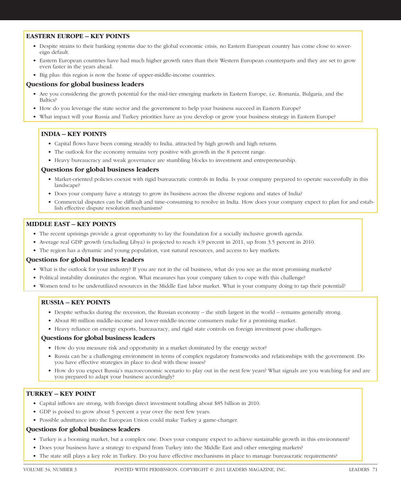#### **EASTERN EUROPE – KEY POINTS**

- Despite strains to their banking systems due to the global economic crisis, no Eastern European country has come close to sovereign default.
- Eastern European countries have had much higher growth rates than their Western European counterparts and they are set to grow even faster in the years ahead.
- Big plus: this region is now the home of upper-middle-income countries.

#### **Questions for global business leaders**

- Are you considering the growth potential for the mid-tier emerging markets in Eastern Europe, i.e. Romania, Bulgaria, and the Baltics?
- How do you leverage the state sector and the government to help your business succeed in Eastern Europe?
- What impact will your Russia and Turkey priorities have as you develop or grow your business strategy in Eastern Europe?

#### **INDIA – KEY POINTS**

- Capital flows have been coming steadily to India, attracted by high growth and high returns.
- The outlook for the economy remains very positive with growth in the 8 percent range.
- Heavy bureaucracy and weak governance are stumbling blocks to investment and entrepreneurship.

#### **Questions for global business leaders**

- Market-oriented policies coexist with rigid bureaucratic controls in India. Is your company prepared to operate successfully in this landscape?
- Does your company have a strategy to grow its business across the diverse regions and states of India?
- Commercial disputes can be difficult and time-consuming to resolve in India. How does your company expect to plan for and establish effective dispute resolution mechanisms?

#### **MIDDLE EAST – KEY POINTS**

- The recent uprisings provide a great opportunity to lay the foundation for a socially inclusive growth agenda.
- Average real GDP growth (excluding Libya) is projected to reach 4.9 percent in 2011, up from 3.5 percent in 2010.
- The region has a dynamic and young population, vast natural resources, and access to key markets.

#### **Questions for global business leaders**

- What is the outlook for your industry? If you are not in the oil business, what do you see as the most promising markets?
- Political instability dominates the region. What measures has your company taken to cope with this challenge?
- Women tend to be underutilized resources in the Middle East labor market. What is your company doing to tap their potential?

#### **RUSSIA – KEY POINTS**

- Despite setbacks during the recession, the Russian economy the sixth largest in the world remains generally strong.
- About 80 million middle-income and lower-middle-income consumers make for a promising market.
- Heavy reliance on energy exports, bureaucracy, and rigid state controls on foreign investment pose challenges.

#### **Questions for global business leaders**

- How do you measure risk and opportunity in a market dominated by the energy sector?
- Russia can be a challenging environment in terms of complex regulatory frameworks and relationships with the government. Do you have effective strategies in place to deal with these issues?
- How do you expect Russia's macroeconomic scenario to play out in the next few years? What signals are you watching for and are you prepared to adapt your business accordingly?

#### **TURKEY – KEY POINT**

- Capital inflows are strong, with foreign direct investment totalling about \$85 billion in 2010.
- GDP is poised to grow about 5 percent a year over the next few years.
- Possible admittance into the European Union could make Turkey a game-changer.

#### **Questions for global business leaders**

- Turkey is a booming market, but a complex one. Does your company expect to achieve sustainable growth in this environment?
- Does your business have a strategy to expand from Turkey into the Middle East and other emerging markets?
- The state still plays a key role in Turkey. Do you have effective mechanisms in place to manage bureaucratic requirements?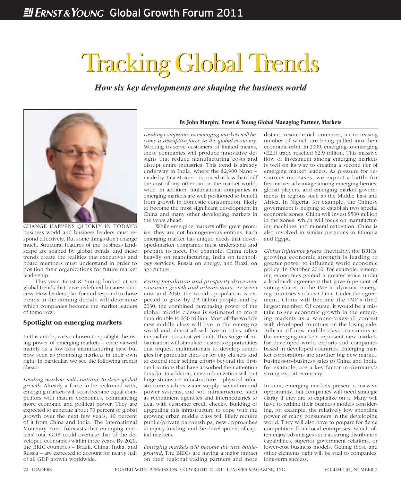# Tracking Global Trends Tracking Global Trends

*How six key developments are shaping the business world*



CHANGE HAPPENS QUICKLY IN TODAY'S business world and business leaders must respond effectively. But some things don't change much. Structural features of the business landscape are shaped by global trends, and these trends create the realities that executives and board members must understand in order to position their organizations for future market leadership.

This year, Ernst & Young looked at six global trends that have redefined business success. How leaders plan for and respond to those trends in the coming decade will determine which companies become the market leaders of tomorrow.

#### **Spotlight on emerging markets**

In this article, we've chosen to spotlight the rising power of emerging markets – once viewed mainly as a low-cost manufacturing base but now seen as promising markets in their own right. In particular, we see the following trends ahead:

*Leading markets will continue to drive global growth.* Already a force to be reckoned with, emerging markets will soon become equal competitors with mature economies, commanding more economic and political power. They are expected to generate about 70 percent of global growth over the next few years, 40 percent of it from China and India. The International Monetary Fund forecasts that emerging markets' total GDP could overtake that of the developed economies within three years. By 2020, the BRIC countries – Brazil, China, India, and Russia – are expected to account for nearly half of all GDP growth worldwide.

#### **By John Murphy, Ernst & Young Global Managing Partner, Markets**

*Leading companies in emerging markets will become a disruptive force in the global economy.*  Working to serve customers of limited means, these companies will produce innovative designs that reduce manufacturing costs and disrupt entire industries. This trend is already underway in India, where the \$2,900 Nano – made by Tata Motors – is priced at less than half the cost of any other car on the market worldwide. In addition, multinational companies in emerging markets are well positioned to benefit from growth in domestic consumption, likely to become the most significant development in China and many other developing markets in the years ahead.

While emerging markets offer great promise, they are not homogeneous entities. Each emerging market has unique needs that developed-market companies must understand and prepare to meet. For example, China relies heavily on manufacturing, India on technology services, Russia on energy, and Brazil on agriculture.

*Rising population and prosperity drive new consumer growth and urbanization.* Between now and 2050, the world's population is expected to grow by 2.3 billion people, and by 2030, the combined purchasing power of the global middle classes is estimated to more than double to \$56 trillion. Most of the world's new middle class will live in the emerging world and almost all will live in cities, often in smaller cities not yet built. This surge of urbanization will stimulate business opportunities that request multinationals to develop strategies for particular cities or for city clusters and to extend their selling efforts beyond the firsttier locations that have absorbed their attention thus far. In addition, mass urbanization will put huge strains on infrastructure – physical infrastructure such as water supply, sanitation and power systems, and soft infrastructure, such as recruitment agencies and intermediaries to deal with customer credit checks. Building or upgrading this infrastructure to cope with the growing urban middle class will likely require public/private partnerships, new approaches to equity funding, and the development of capital markets.

*Emerging markets will become the new battleground.* The BRICs are having a major impact on their regional trading partners and more

distant, resource-rich countries, an increasing number of which are being pulled into their economic orbit. In 2009, emerging-to-emerging (E2E) trade reached \$2.9 trillion. This massive flow of investment among emerging markets is well on its way to creating a second tier of emerging market leaders. As pressure for resources increases, we expect a battle for first-mover advantage among emerging heroes, global players, and emerging market governments in regions such as the Middle East and Africa. In Nigeria, for example, the Chinese government is helping to establish two special economic zones. China will invest \$500 million in the zones, which will focus on manufacturing machines and mineral extraction. China is also involved in similar programs in Ethiopia and Egypt.

*Global infl uence grows.* Inevitably, the BRICs' growing economic strength is leading to greater power to influence world economic policy. In October 2010, for example, emerging economies gained a greater voice under a landmark agreement that gave 6 percent of voting shares in the IMF to dynamic emerging countries such as China. Under the agreement, China will become the IMF's third largest member. Of course, it would be a mistake to see economic growth in the emerging markets as a winner-takes-all contest with developed countries on the losing side. Billions of new middle-class consumers in the emerging markets represent new markets for developed-world exports and companies based in developed countries. Emerging market corporations are another big new market: business-to-business sales to China and India, for example, are a key factor in Germany's strong export economy.

In sum, emerging markets present a massive opportunity, but companies will need strategic clarity if they are to capitalize on it. Many will have to rethink their business models considering, for example, the relatively low spending power of many consumers in the developing world. They will also have to prepare for fierce competition from local enterprises, which often enjoy advantages such as strong distribution capabilities, superior government relations, or lower-cost business models. Getting these and other elements right will be vital to companies' long-term success.